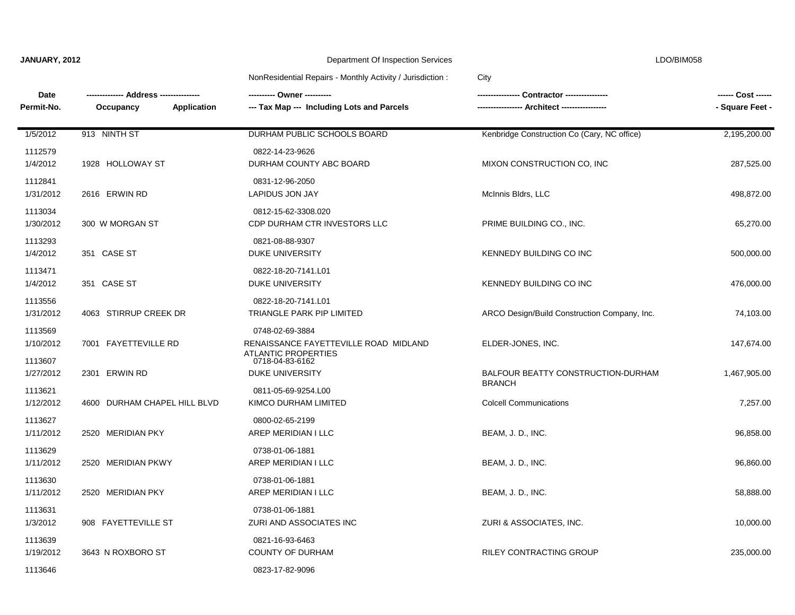$\blacksquare$ 

## **JANUARY, 2012** Department Of Inspection Services LDO/BIM058

### NonResidential Repairs - Monthly Activity / Jurisdiction : City

| Date<br>Permit-No.              | --- Address -----------<br>Occupancy<br>Application | --- Tax Map --- Including Lots and Parcels                                                          | Contractor ----------------<br>Architect ----------------- | ------ Cost ------<br>- Square Feet - |
|---------------------------------|-----------------------------------------------------|-----------------------------------------------------------------------------------------------------|------------------------------------------------------------|---------------------------------------|
| 1/5/2012                        | 913 NINTH ST                                        | DURHAM PUBLIC SCHOOLS BOARD                                                                         | Kenbridge Construction Co (Cary, NC office)                | 2,195,200.00                          |
| 1112579<br>1/4/2012             | 1928 HOLLOWAY ST                                    | 0822-14-23-9626<br>DURHAM COUNTY ABC BOARD                                                          | MIXON CONSTRUCTION CO, INC                                 | 287,525.00                            |
| 1112841<br>1/31/2012            | 2616 ERWIN RD                                       | 0831-12-96-2050<br><b>LAPIDUS JON JAY</b>                                                           | McInnis Bldrs, LLC                                         | 498,872.00                            |
| 1113034<br>1/30/2012            | 300 W MORGAN ST                                     | 0812-15-62-3308.020<br>CDP DURHAM CTR INVESTORS LLC                                                 | PRIME BUILDING CO., INC.                                   | 65,270.00                             |
| 1113293<br>1/4/2012             | 351 CASE ST                                         | 0821-08-88-9307<br><b>DUKE UNIVERSITY</b>                                                           | KENNEDY BUILDING CO INC                                    | 500,000.00                            |
| 1113471<br>1/4/2012             | 351 CASE ST                                         | 0822-18-20-7141.L01<br><b>DUKE UNIVERSITY</b>                                                       | KENNEDY BUILDING CO INC                                    | 476,000.00                            |
| 1113556<br>1/31/2012            | 4063 STIRRUP CREEK DR                               | 0822-18-20-7141.L01<br>TRIANGLE PARK PIP LIMITED                                                    | ARCO Design/Build Construction Company, Inc.               | 74,103.00                             |
| 1113569<br>1/10/2012<br>1113607 | 7001 FAYETTEVILLE RD                                | 0748-02-69-3884<br>RENAISSANCE FAYETTEVILLE ROAD MIDLAND<br>ATI ANTIC PROPERTIES<br>0718-04-83-6162 | ELDER-JONES, INC.                                          | 147,674.00                            |
| 1/27/2012                       | 2301 ERWIN RD                                       | <b>DUKE UNIVERSITY</b>                                                                              | BALFOUR BEATTY CONSTRUCTION-DURHAM<br><b>BRANCH</b>        | 1,467,905.00                          |
| 1113621<br>1/12/2012            | 4600 DURHAM CHAPEL HILL BLVD                        | 0811-05-69-9254.L00<br>KIMCO DURHAM LIMITED                                                         | <b>Colcell Communications</b>                              | 7,257.00                              |
| 1113627<br>1/11/2012            | 2520 MERIDIAN PKY                                   | 0800-02-65-2199<br>AREP MERIDIAN I LLC                                                              | BEAM, J. D., INC.                                          | 96,858.00                             |
| 1113629<br>1/11/2012            | 2520 MERIDIAN PKWY                                  | 0738-01-06-1881<br>AREP MERIDIAN I LLC                                                              | BEAM, J. D., INC.                                          | 96,860.00                             |
| 1113630<br>1/11/2012            | 2520 MERIDIAN PKY                                   | 0738-01-06-1881<br>AREP MERIDIAN I LLC                                                              | BEAM, J. D., INC.                                          | 58,888.00                             |
| 1113631<br>1/3/2012             | 908 FAYETTEVILLE ST                                 | 0738-01-06-1881<br>ZURI AND ASSOCIATES INC                                                          | ZURI & ASSOCIATES, INC.                                    | 10,000.00                             |
| 1113639<br>1/19/2012            | 3643 N ROXBORO ST                                   | 0821-16-93-6463<br><b>COUNTY OF DURHAM</b>                                                          | <b>RILEY CONTRACTING GROUP</b>                             | 235,000.00                            |
| 1113646                         |                                                     | 0823-17-82-9096                                                                                     |                                                            |                                       |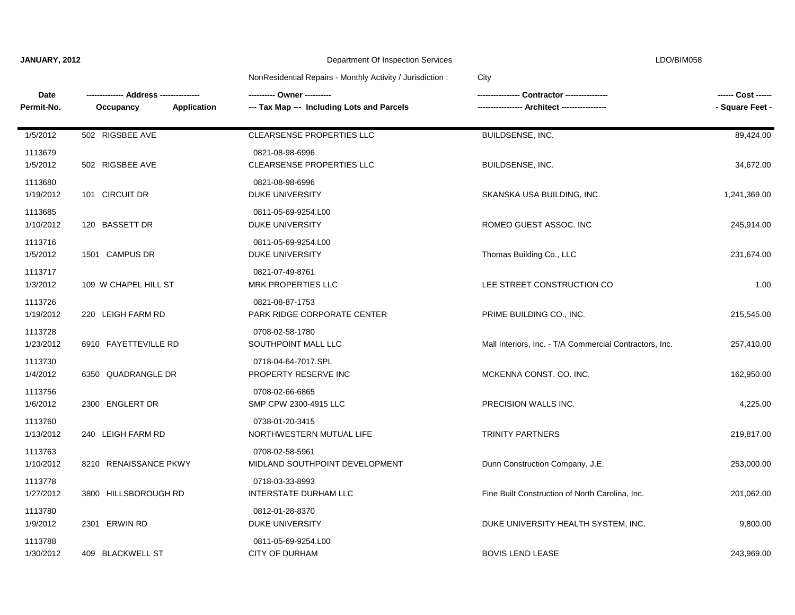|  |  | JANUARY, 2012 |  |
|--|--|---------------|--|
|  |  |               |  |

#### **Department Of Inspection Services** LDO/BIM058

# NonResidential Repairs - Monthly Activity / Jurisdiction : City

| Date<br>Permit-No.   | Application<br>Occupancy | ---------- Owner ----------<br>--- Tax Map --- Including Lots and Parcels |                                                         | ------ Cost ------<br>- Square Feet - |
|----------------------|--------------------------|---------------------------------------------------------------------------|---------------------------------------------------------|---------------------------------------|
| 1/5/2012             | 502 RIGSBEE AVE          | <b>CLEARSENSE PROPERTIES LLC</b>                                          | <b>BUILDSENSE, INC.</b>                                 | 89,424.00                             |
| 1113679<br>1/5/2012  | 502 RIGSBEE AVE          | 0821-08-98-6996<br>CLEARSENSE PROPERTIES LLC                              | BUILDSENSE, INC.                                        | 34,672.00                             |
| 1113680<br>1/19/2012 | 101 CIRCUIT DR           | 0821-08-98-6996<br><b>DUKE UNIVERSITY</b>                                 | SKANSKA USA BUILDING, INC.                              | 1,241,369.00                          |
| 1113685<br>1/10/2012 | 120 BASSETT DR           | 0811-05-69-9254.L00<br><b>DUKE UNIVERSITY</b>                             | ROMEO GUEST ASSOC. INC                                  | 245,914.00                            |
| 1113716<br>1/5/2012  | 1501 CAMPUS DR           | 0811-05-69-9254.L00<br>DUKE UNIVERSITY                                    | Thomas Building Co., LLC                                | 231,674.00                            |
| 1113717<br>1/3/2012  | 109 W CHAPEL HILL ST     | 0821-07-49-8761<br><b>MRK PROPERTIES LLC</b>                              | LEE STREET CONSTRUCTION CO                              | 1.00                                  |
| 1113726<br>1/19/2012 | 220 LEIGH FARM RD        | 0821-08-87-1753<br>PARK RIDGE CORPORATE CENTER                            | PRIME BUILDING CO., INC.                                | 215,545.00                            |
| 1113728<br>1/23/2012 | 6910 FAYETTEVILLE RD     | 0708-02-58-1780<br>SOUTHPOINT MALL LLC                                    | Mall Interiors, Inc. - T/A Commercial Contractors, Inc. | 257,410.00                            |
| 1113730<br>1/4/2012  | 6350 QUADRANGLE DR       | 0718-04-64-7017.SPL<br>PROPERTY RESERVE INC                               | MCKENNA CONST. CO. INC.                                 | 162,950.00                            |
| 1113756<br>1/6/2012  | 2300 ENGLERT DR          | 0708-02-66-6865<br>SMP CPW 2300-4915 LLC                                  | PRECISION WALLS INC.                                    | 4,225.00                              |
| 1113760<br>1/13/2012 | 240 LEIGH FARM RD        | 0738-01-20-3415<br>NORTHWESTERN MUTUAL LIFE                               | <b>TRINITY PARTNERS</b>                                 | 219,817.00                            |
| 1113763<br>1/10/2012 | 8210 RENAISSANCE PKWY    | 0708-02-58-5961<br>MIDLAND SOUTHPOINT DEVELOPMENT                         | Dunn Construction Company, J.E.                         | 253,000.00                            |
| 1113778<br>1/27/2012 | 3800 HILLSBOROUGH RD     | 0718-03-33-8993<br><b>INTERSTATE DURHAM LLC</b>                           | Fine Built Construction of North Carolina, Inc.         | 201,062.00                            |
| 1113780<br>1/9/2012  | 2301 ERWIN RD            | 0812-01-28-8370<br>DUKE UNIVERSITY                                        | DUKE UNIVERSITY HEALTH SYSTEM, INC.                     | 9,800.00                              |
| 1113788<br>1/30/2012 | 409 BLACKWELL ST         | 0811-05-69-9254.L00<br><b>CITY OF DURHAM</b>                              | <b>BOVIS LEND LEASE</b>                                 | 243,969.00                            |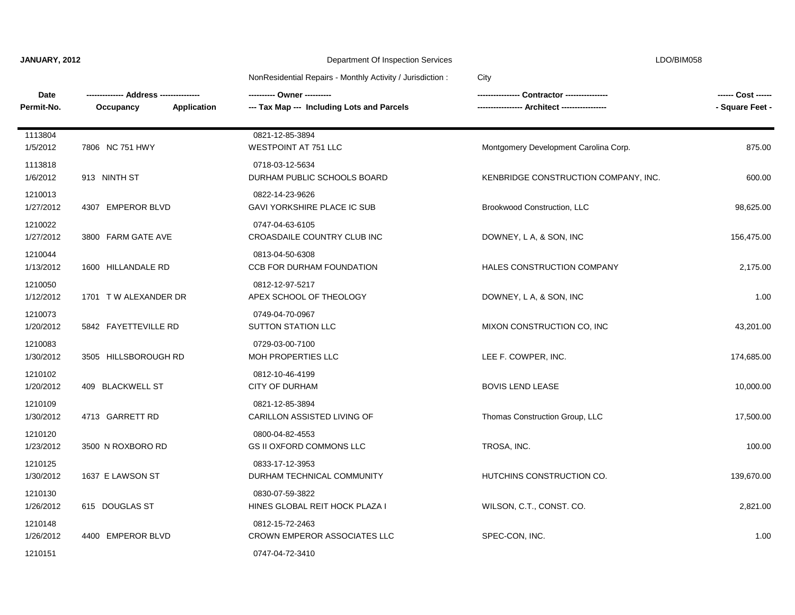| JANUARY, 2012 |  |
|---------------|--|
|---------------|--|

### Department Of Inspection Services **LDO/BIM058**

### NonResidential Repairs - Monthly Activity / Jurisdiction : City

| Date<br>Permit-No.   | Application<br>Occupancy | ---------- Owner ----------<br>--- Tax Map --- Including Lots and Parcels |                                       | - Square Feet - |
|----------------------|--------------------------|---------------------------------------------------------------------------|---------------------------------------|-----------------|
| 1113804<br>1/5/2012  | 7806 NC 751 HWY          | 0821-12-85-3894<br><b>WESTPOINT AT 751 LLC</b>                            | Montgomery Development Carolina Corp. | 875.00          |
| 1113818<br>1/6/2012  | 913 NINTH ST             | 0718-03-12-5634<br>DURHAM PUBLIC SCHOOLS BOARD                            | KENBRIDGE CONSTRUCTION COMPANY, INC.  | 600.00          |
| 1210013<br>1/27/2012 | 4307 EMPEROR BLVD        | 0822-14-23-9626<br>GAVI YORKSHIRE PLACE IC SUB                            | Brookwood Construction, LLC           | 98,625.00       |
| 1210022<br>1/27/2012 | 3800 FARM GATE AVE       | 0747-04-63-6105<br>CROASDAILE COUNTRY CLUB INC                            | DOWNEY, L A, & SON, INC               | 156,475.00      |
| 1210044<br>1/13/2012 | 1600 HILLANDALE RD       | 0813-04-50-6308<br>CCB FOR DURHAM FOUNDATION                              | HALES CONSTRUCTION COMPANY            | 2,175.00        |
| 1210050<br>1/12/2012 | 1701 TW ALEXANDER DR     | 0812-12-97-5217<br>APEX SCHOOL OF THEOLOGY                                | DOWNEY, L A, & SON, INC               | 1.00            |
| 1210073<br>1/20/2012 | 5842 FAYETTEVILLE RD     | 0749-04-70-0967<br><b>SUTTON STATION LLC</b>                              | MIXON CONSTRUCTION CO, INC            | 43,201.00       |
| 1210083<br>1/30/2012 | 3505 HILLSBOROUGH RD     | 0729-03-00-7100<br>MOH PROPERTIES LLC                                     | LEE F. COWPER, INC.                   | 174,685.00      |
| 1210102<br>1/20/2012 | 409 BLACKWELL ST         | 0812-10-46-4199<br><b>CITY OF DURHAM</b>                                  | <b>BOVIS LEND LEASE</b>               | 10,000.00       |
| 1210109<br>1/30/2012 | 4713 GARRETT RD          | 0821-12-85-3894<br>CARILLON ASSISTED LIVING OF                            | Thomas Construction Group, LLC        | 17,500.00       |
| 1210120<br>1/23/2012 | 3500 N ROXBORO RD        | 0800-04-82-4553<br>GS II OXFORD COMMONS LLC                               | TROSA, INC.                           | 100.00          |
| 1210125<br>1/30/2012 | 1637 E LAWSON ST         | 0833-17-12-3953<br>DURHAM TECHNICAL COMMUNITY                             | HUTCHINS CONSTRUCTION CO.             | 139,670.00      |
| 1210130<br>1/26/2012 | 615 DOUGLAS ST           | 0830-07-59-3822<br>HINES GLOBAL REIT HOCK PLAZA I                         | WILSON, C.T., CONST. CO.              | 2,821.00        |
| 1210148<br>1/26/2012 | 4400 EMPEROR BLVD        | 0812-15-72-2463<br>CROWN EMPEROR ASSOCIATES LLC                           | SPEC-CON, INC.                        | 1.00            |
| 1210151              |                          | 0747-04-72-3410                                                           |                                       |                 |